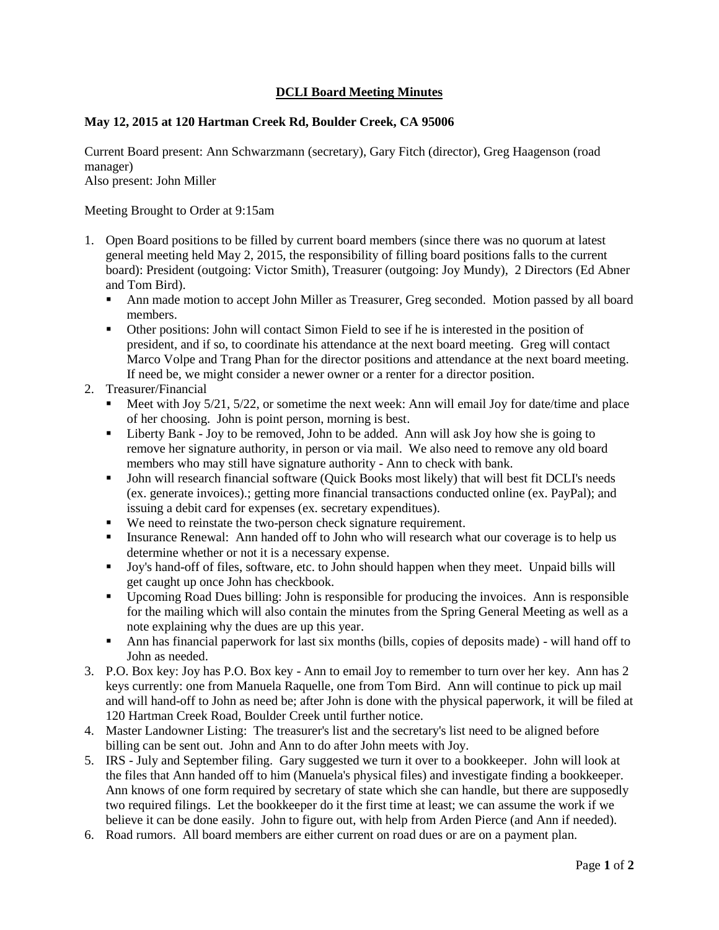## **DCLI Board Meeting Minutes**

## **May 12, 2015 at 120 Hartman Creek Rd, Boulder Creek, CA 95006**

Current Board present: Ann Schwarzmann (secretary), Gary Fitch (director), Greg Haagenson (road manager) Also present: John Miller

Meeting Brought to Order at 9:15am

- 1. Open Board positions to be filled by current board members (since there was no quorum at latest general meeting held May 2, 2015, the responsibility of filling board positions falls to the current board): President (outgoing: Victor Smith), Treasurer (outgoing: Joy Mundy), 2 Directors (Ed Abner and Tom Bird).
	- Ann made motion to accept John Miller as Treasurer, Greg seconded. Motion passed by all board members.
	- Other positions: John will contact Simon Field to see if he is interested in the position of president, and if so, to coordinate his attendance at the next board meeting. Greg will contact Marco Volpe and Trang Phan for the director positions and attendance at the next board meeting. If need be, we might consider a newer owner or a renter for a director position.

## 2. Treasurer/Financial

- Meet with Joy 5/21, 5/22, or sometime the next week: Ann will email Joy for date/time and place of her choosing. John is point person, morning is best.
- Liberty Bank Joy to be removed, John to be added. Ann will ask Joy how she is going to remove her signature authority, in person or via mail. We also need to remove any old board members who may still have signature authority - Ann to check with bank.
- John will research financial software (Quick Books most likely) that will best fit DCLI's needs (ex. generate invoices).; getting more financial transactions conducted online (ex. PayPal); and issuing a debit card for expenses (ex. secretary expenditues).
- We need to reinstate the two-person check signature requirement.
- Insurance Renewal: Ann handed off to John who will research what our coverage is to help us determine whether or not it is a necessary expense.
- Joy's hand-off of files, software, etc. to John should happen when they meet. Unpaid bills will get caught up once John has checkbook.
- Upcoming Road Dues billing: John is responsible for producing the invoices. Ann is responsible for the mailing which will also contain the minutes from the Spring General Meeting as well as a note explaining why the dues are up this year.
- Ann has financial paperwork for last six months (bills, copies of deposits made) will hand off to John as needed.
- 3. P.O. Box key: Joy has P.O. Box key Ann to email Joy to remember to turn over her key. Ann has 2 keys currently: one from Manuela Raquelle, one from Tom Bird. Ann will continue to pick up mail and will hand-off to John as need be; after John is done with the physical paperwork, it will be filed at 120 Hartman Creek Road, Boulder Creek until further notice.
- 4. Master Landowner Listing: The treasurer's list and the secretary's list need to be aligned before billing can be sent out. John and Ann to do after John meets with Joy.
- 5. IRS July and September filing. Gary suggested we turn it over to a bookkeeper. John will look at the files that Ann handed off to him (Manuela's physical files) and investigate finding a bookkeeper. Ann knows of one form required by secretary of state which she can handle, but there are supposedly two required filings. Let the bookkeeper do it the first time at least; we can assume the work if we believe it can be done easily. John to figure out, with help from Arden Pierce (and Ann if needed).
- 6. Road rumors. All board members are either current on road dues or are on a payment plan.